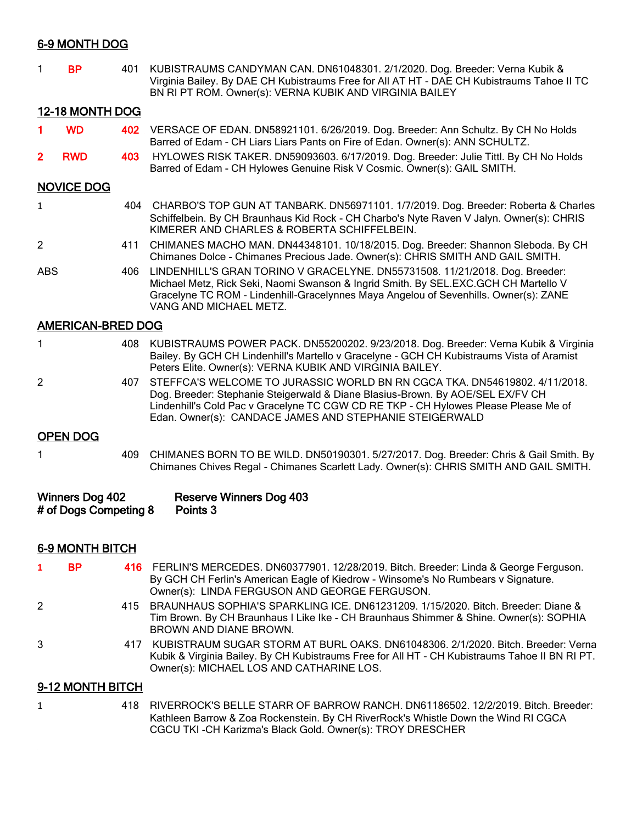## 6-9 MONTH DOG

| <b>BP</b> | 401 KUBISTRAUMS CANDYMAN CAN. DN61048301. 2/1/2020. Dog. Breeder: Verna Kubik &            |
|-----------|--------------------------------------------------------------------------------------------|
|           | Virginia Bailey. By DAE CH Kubistraums Free for All AT HT - DAE CH Kubistraums Tahoe II TC |
|           | BN RI PT ROM. Owner(s): VERNA KUBIK AND VIRGINIA BAILEY                                    |

### 12-18 MONTH DOG

- 1 WD 402 VERSACE OF EDAN. DN58921101. 6/26/2019. Dog. Breeder: Ann Schultz. By CH No Holds Barred of Edam - CH Liars Liars Pants on Fire of Edan. Owner(s): ANN SCHULTZ.
- 2 RWD 403 HYLOWES RISK TAKER. DN59093603. 6/17/2019. Dog. Breeder: Julie Tittl. By CH No Holds Barred of Edam - CH Hylowes Genuine Risk V Cosmic. Owner(s): GAIL SMITH.

#### NOVICE DOG

| $\mathbf{1}$ | 404 | CHARBO'S TOP GUN AT TANBARK. DN56971101. 1/7/2019. Dog. Breeder: Roberta & Charles<br>Schiffelbein. By CH Braunhaus Kid Rock - CH Charbo's Nyte Raven V Jalyn. Owner(s): CHRIS<br>KIMERER AND CHARLES & ROBERTA SCHIFFELBEIN. |
|--------------|-----|-------------------------------------------------------------------------------------------------------------------------------------------------------------------------------------------------------------------------------|
| 2            |     | 411 CHIMANES MACHO MAN. DN44348101. 10/18/2015. Dog. Breeder: Shannon Sleboda. By CH<br>Chimanes Dolce - Chimanes Precious Jade. Owner(s): CHRIS SMITH AND GAIL SMITH.                                                        |
| ABS.         |     | 406 LINDENHILL'S GRAN TORINO V GRACELYNE. DN55731508. 11/21/2018. Dog. Breeder:                                                                                                                                               |

Michael Metz, Rick Seki, Naomi Swanson & Ingrid Smith. By SEL.EXC.GCH CH Martello V Gracelyne TC ROM - Lindenhill-Gracelynnes Maya Angelou of Sevenhills. Owner(s): ZANE VANG AND MICHAEL METZ.

## AMERICAN-BRED DOG

|  | 408 KUBISTRAUMS POWER PACK. DN55200202. 9/23/2018. Dog. Breeder: Verna Kubik & Virginia   |
|--|-------------------------------------------------------------------------------------------|
|  | Bailey. By GCH CH Lindenhill's Martello v Gracelyne - GCH CH Kubistraums Vista of Aramist |
|  | Peters Elite. Owner(s): VERNA KUBIK AND VIRGINIA BAILEY.                                  |

2 407 STEFFCA'S WELCOME TO JURASSIC WORLD BN RN CGCA TKA. DN54619802. 4/11/2018. Dog. Breeder: Stephanie Steigerwald & Diane Blasius-Brown. By AOE/SEL EX/FV CH Lindenhill's Cold Pac v Gracelyne TC CGW CD RE TKP - CH Hylowes Please Please Me of Edan. Owner(s): CANDACE JAMES AND STEPHANIE STEIGERWALD

#### OPEN DOG

1 409 CHIMANES BORN TO BE WILD. DN50190301. 5/27/2017. Dog. Breeder: Chris & Gail Smith. By Chimanes Chives Regal - Chimanes Scarlett Lady. Owner(s): CHRIS SMITH AND GAIL SMITH.

| Winners Dog 402       | Reserve Winners Dog 403 |
|-----------------------|-------------------------|
| # of Dogs Competing 8 | Points 3                |

## 6-9 MONTH BITCH

| - BP- | 416 FERLIN'S MERCEDES. DN60377901. 12/28/2019. Bitch. Breeder: Linda & George Ferguson. |
|-------|-----------------------------------------------------------------------------------------|
|       | By GCH CH Ferlin's American Eagle of Kiedrow - Winsome's No Rumbears v Signature.       |
|       | Owner(s): LINDA FERGUSON AND GEORGE FERGUSON.                                           |

- 2 415 BRAUNHAUS SOPHIA'S SPARKLING ICE. DN61231209. 1/15/2020. Bitch. Breeder: Diane & Tim Brown. By CH Braunhaus I Like Ike - CH Braunhaus Shimmer & Shine. Owner(s): SOPHIA BROWN AND DIANE BROWN.
- 3 417 KUBISTRAUM SUGAR STORM AT BURL OAKS. DN61048306. 2/1/2020. Bitch. Breeder: Verna Kubik & Virginia Bailey. By CH Kubistraums Free for All HT - CH Kubistraums Tahoe II BN RI PT. Owner(s): MICHAEL LOS AND CATHARINE LOS.

## 9-12 MONTH BITCH

1 418 RIVERROCK'S BELLE STARR OF BARROW RANCH. DN61186502. 12/2/2019. Bitch. Breeder: Kathleen Barrow & Zoa Rockenstein. By CH RiverRock's Whistle Down the Wind RI CGCA CGCU TKI -CH Karizma's Black Gold. Owner(s): TROY DRESCHER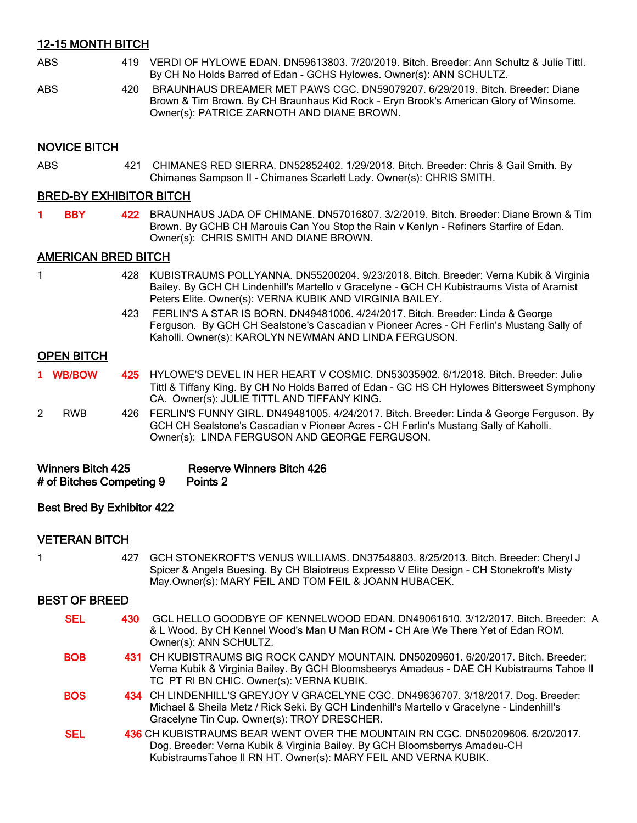## 12-15 MONTH BITCH

- ABS 419 VERDI OF HYLOWE EDAN. DN59613803. 7/20/2019. Bitch. Breeder: Ann Schultz & Julie Tittl. By CH No Holds Barred of Edan - GCHS Hylowes. Owner(s): ANN SCHULTZ.
- ABS 420 BRAUNHAUS DREAMER MET PAWS CGC. DN59079207. 6/29/2019. Bitch. Breeder: Diane Brown & Tim Brown. By CH Braunhaus Kid Rock - Eryn Brook's American Glory of Winsome. Owner(s): PATRICE ZARNOTH AND DIANE BROWN.

### NOVICE BITCH

ABS 421 CHIMANES RED SIERRA. DN52852402. 1/29/2018. Bitch. Breeder: Chris & Gail Smith. By Chimanes Sampson II - Chimanes Scarlett Lady. Owner(s): CHRIS SMITH.

## BRED-BY EXHIBITOR BITCH

1 BBY 422 BRAUNHAUS JADA OF CHIMANE. DN57016807. 3/2/2019. Bitch. Breeder: Diane Brown & Tim Brown. By GCHB CH Marouis Can You Stop the Rain v Kenlyn - Refiners Starfire of Edan. Owner(s): CHRIS SMITH AND DIANE BROWN.

### AMERICAN BRED BITCH

- 1 428 KUBISTRAUMS POLLYANNA. DN55200204. 9/23/2018. Bitch. Breeder: Verna Kubik & Virginia Bailey. By GCH CH Lindenhill's Martello v Gracelyne - GCH CH Kubistraums Vista of Aramist Peters Elite. Owner(s): VERNA KUBIK AND VIRGINIA BAILEY.
	- 423 FERLIN'S A STAR IS BORN. DN49481006. 4/24/2017. Bitch. Breeder: Linda & George Ferguson. By GCH CH Sealstone's Cascadian v Pioneer Acres - CH Ferlin's Mustang Sally of Kaholli. Owner(s): KAROLYN NEWMAN AND LINDA FERGUSON.

#### OPEN BITCH

- **1** WB/BOW 425 HYLOWE'S DEVEL IN HER HEART V COSMIC. DN53035902. 6/1/2018. Bitch. Breeder: Julie Tittl & Tiffany King. By CH No Holds Barred of Edan - GC HS CH Hylowes Bittersweet Symphony CA. Owner(s): JULIE TITTL AND TIFFANY KING.
- 2 RWB 426 FERLIN'S FUNNY GIRL. DN49481005. 4/24/2017. Bitch. Breeder: Linda & George Ferguson. By GCH CH Sealstone's Cascadian v Pioneer Acres - CH Ferlin's Mustang Sally of Kaholli. Owner(s): LINDA FERGUSON AND GEORGE FERGUSON.

| <b>Winners Bitch 425</b> | <b>Reserve Winners Bitch 426</b> |
|--------------------------|----------------------------------|
| # of Bitches Competing 9 | Points 2                         |

#### Best Bred By Exhibitor 422

#### VETERAN BITCH

1 427 GCH STONEKROFT'S VENUS WILLIAMS. DN37548803. 8/25/2013. Bitch. Breeder: Cheryl J Spicer & Angela Buesing. By CH Blaiotreus Expresso V Elite Design - CH Stonekroft's Misty May.Owner(s): MARY FEIL AND TOM FEIL & JOANN HUBACEK.

### BEST OF BREED

| <b>SEL</b> | GCL HELLO GOODBYE OF KENNELWOOD EDAN. DN49061610. 3/12/2017. Bitch. Breeder: A<br>430<br>& L Wood. By CH Kennel Wood's Man U Man ROM - CH Are We There Yet of Edan ROM.<br>Owner(s): ANN SCHULTZ.                              |
|------------|--------------------------------------------------------------------------------------------------------------------------------------------------------------------------------------------------------------------------------|
| <b>BOB</b> | 431 CH KUBISTRAUMS BIG ROCK CANDY MOUNTAIN, DN50209601, 6/20/2017, Bitch, Breeder:<br>Verna Kubik & Virginia Bailey. By GCH Bloomsbeerys Amadeus - DAE CH Kubistraums Tahoe II<br>TC PT RI BN CHIC. Owner(s): VERNA KUBIK.     |
| <b>BOS</b> | 434 CH LINDENHILL'S GREYJOY V GRACELYNE CGC. DN49636707. 3/18/2017. Dog. Breeder:<br>Michael & Sheila Metz / Rick Seki. By GCH Lindenhill's Martello v Gracelyne - Lindenhill's<br>Gracelyne Tin Cup. Owner(s): TROY DRESCHER. |
| <b>SEL</b> | 436 CH KUBISTRAUMS BEAR WENT OVER THE MOUNTAIN RN CGC. DN50209606. 6/20/2017.<br>Dog. Breeder: Verna Kubik & Virginia Bailey. By GCH Bloomsberrys Amadeu-CH<br>KubistraumsTahoe II RN HT. Owner(s): MARY FEIL AND VERNA KUBIK. |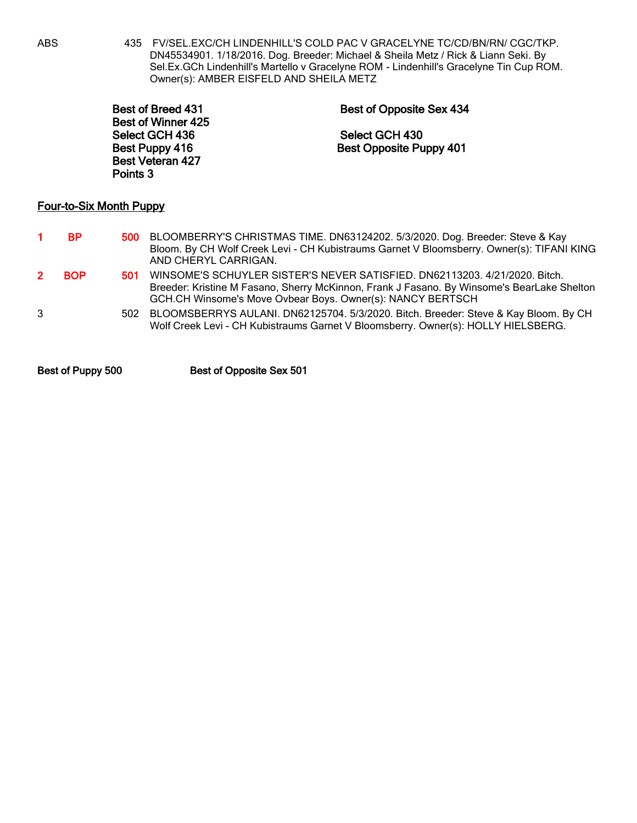ABS 435 FV/SEL.EXC/CH LINDENHILL'S COLD PAC V GRACELYNE TC/CD/BN/RN/ CGC/TKP. DN45534901. 1/18/2016. Dog. Breeder: Michael & Sheila Metz / Rick & Liann Seki. By Sel.Ex.GCh Lindenhill's Martello v Gracelyne ROM - Lindenhill's Gracelyne Tin Cup ROM. Owner(s): AMBER EISFELD AND SHEILA METZ

| <b>Best of Breed 431</b> | Best of Opposite Sex 434       |
|--------------------------|--------------------------------|
| Best of Winner 425       |                                |
| Select GCH 436           | Select GCH 430                 |
| Best Puppy 416           | <b>Best Opposite Puppy 401</b> |
| <b>Best Veteran 427</b>  |                                |
| Points 3                 |                                |
|                          |                                |

## Four-to-Six Month Puppy

| BP. | 500 BLOOMBERRY'S CHRISTMAS TIME. DN63124202. 5/3/2020. Dog. Breeder: Steve & Kay<br>Bloom. By CH Wolf Creek Levi - CH Kubistraums Garnet V Bloomsberry. Owner(s): TIFANI KING<br>AND CHERYL CARRIGAN. |
|-----|-------------------------------------------------------------------------------------------------------------------------------------------------------------------------------------------------------|
|     |                                                                                                                                                                                                       |

- 2 BOP 501 WINSOME'S SCHUYLER SISTER'S NEVER SATISFIED. DN62113203. 4/21/2020. Bitch. Breeder: Kristine M Fasano, Sherry McKinnon, Frank J Fasano. By Winsome's BearLake Shelton GCH.CH Winsome's Move Ovbear Boys. Owner(s): NANCY BERTSCH
- 3 502 BLOOMSBERRYS AULANI. DN62125704. 5/3/2020. Bitch. Breeder: Steve & Kay Bloom. By CH Wolf Creek Levi - CH Kubistraums Garnet V Bloomsberry. Owner(s): HOLLY HIELSBERG.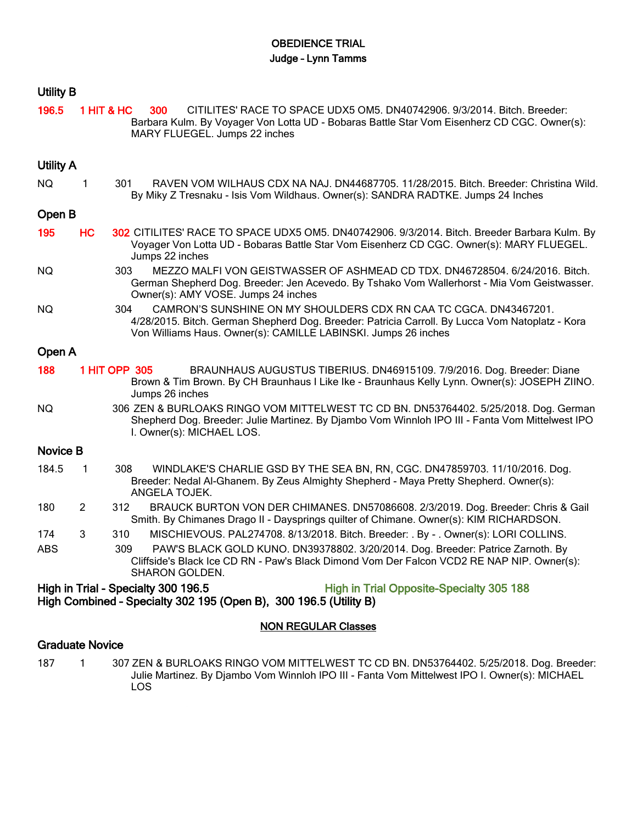## OBEDIENCE TRIAL Judge – Lynn Tamms

## Utility B

196.5 1 HIT & HC 300 CITILITES' RACE TO SPACE UDX5 OM5. DN40742906. 9/3/2014. Bitch. Breeder: Barbara Kulm. By Voyager Von Lotta UD - Bobaras Battle Star Vom Eisenherz CD CGC. Owner(s): MARY FLUEGEL. Jumps 22 inches

## Utility A

NQ 1 301 RAVEN VOM WILHAUS CDX NA NAJ. DN44687705. 11/28/2015. Bitch. Breeder: Christina Wild. By Miky Z Tresnaku - Isis Vom Wildhaus. Owner(s): SANDRA RADTKE. Jumps 24 Inches

## Open B

| 195 | HC 302 CITILITES' RACE TO SPACE UDX5 OM5. DN40742906. 9/3/2014. Bitch. Breeder Barbara Kulm. By |
|-----|-------------------------------------------------------------------------------------------------|
|     | Voyager Von Lotta UD - Bobaras Battle Star Vom Eisenherz CD CGC. Owner(s): MARY FLUEGEL.        |
|     | Jumps 22 inches                                                                                 |

- NQ 303 MEZZO MALFI VON GEISTWASSER OF ASHMEAD CD TDX. DN46728504. 6/24/2016. Bitch. German Shepherd Dog. Breeder: Jen Acevedo. By Tshako Vom Wallerhorst - Mia Vom Geistwasser. Owner(s): AMY VOSE. Jumps 24 inches
- NQ 304 CAMRON'S SUNSHINE ON MY SHOULDERS CDX RN CAA TC CGCA. DN43467201. 4/28/2015. Bitch. German Shepherd Dog. Breeder: Patricia Carroll. By Lucca Vom Natoplatz - Kora Von Williams Haus. Owner(s): CAMILLE LABINSKI. Jumps 26 inches

# Open A

- 188 1 HIT OPP 305 BRAUNHAUS AUGUSTUS TIBERIUS. DN46915109. 7/9/2016. Dog. Breeder: Diane Brown & Tim Brown. By CH Braunhaus I Like Ike - Braunhaus Kelly Lynn. Owner(s): JOSEPH ZIINO. Jumps 26 inches
- NQ 306 ZEN & BURLOAKS RINGO VOM MITTELWEST TC CD BN. DN53764402. 5/25/2018. Dog. German Shepherd Dog. Breeder: Julie Martinez. By Djambo Vom Winnloh IPO III - Fanta Vom Mittelwest IPO I. Owner(s): MICHAEL LOS.

## Novice B

- 184.5 1 308 WINDLAKE'S CHARLIE GSD BY THE SEA BN, RN, CGC. DN47859703. 11/10/2016. Dog. Breeder: Nedal Al-Ghanem. By Zeus Almighty Shepherd - Maya Pretty Shepherd. Owner(s): ANGELA TOJEK.
- 180 2 312 BRAUCK BURTON VON DER CHIMANES. DN57086608. 2/3/2019. Dog. Breeder: Chris & Gail Smith. By Chimanes Drago II - Daysprings quilter of Chimane. Owner(s): KIM RICHARDSON.
- 174 3 310 MISCHIEVOUS. PAL274708. 8/13/2018. Bitch. Breeder: . By . Owner(s): LORI COLLINS.

ABS 309 PAW'S BLACK GOLD KUNO. DN39378802. 3/20/2014. Dog. Breeder: Patrice Zarnoth. By Cliffside's Black Ice CD RN - Paw's Black Dimond Vom Der Falcon VCD2 RE NAP NIP. Owner(s): SHARON GOLDEN.

## High in Trial - Specialty 300 196.5 High in Trial Opposite-Specialty 305 188 High Combined – Specialty 302 195 (Open B), 300 196.5 (Utility B)

## NON REGULAR Classes

## Graduate Novice

187 1 307 ZEN & BURLOAKS RINGO VOM MITTELWEST TC CD BN. DN53764402. 5/25/2018. Dog. Breeder: Julie Martinez. By Djambo Vom Winnloh IPO III - Fanta Vom Mittelwest IPO I. Owner(s): MICHAEL LOS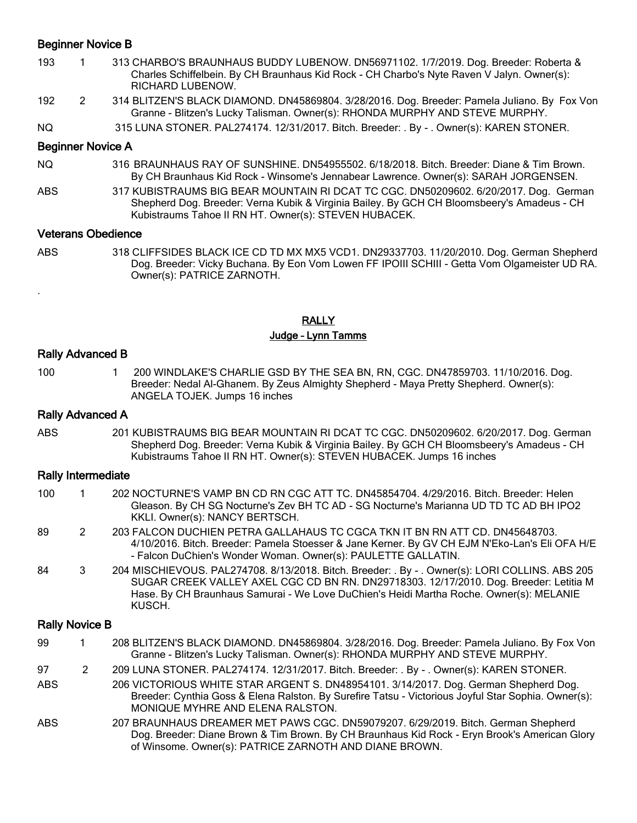## Beginner Novice B

- 193 1 313 CHARBO'S BRAUNHAUS BUDDY LUBENOW. DN56971102. 1/7/2019. Dog. Breeder: Roberta & Charles Schiffelbein. By CH Braunhaus Kid Rock - CH Charbo's Nyte Raven V Jalyn. Owner(s): RICHARD LUBENOW.
- 192 2 314 BLITZEN'S BLACK DIAMOND. DN45869804. 3/28/2016. Dog. Breeder: Pamela Juliano. By Fox Von Granne - Blitzen's Lucky Talisman. Owner(s): RHONDA MURPHY AND STEVE MURPHY.
- NQ 315 LUNA STONER. PAL274174. 12/31/2017. Bitch. Breeder: . By . Owner(s): KAREN STONER.

## Beginner Novice A

- NQ 316 BRAUNHAUS RAY OF SUNSHINE. DN54955502. 6/18/2018. Bitch. Breeder: Diane & Tim Brown. By CH Braunhaus Kid Rock - Winsome's Jennabear Lawrence. Owner(s): SARAH JORGENSEN.
- ABS 317 KUBISTRAUMS BIG BEAR MOUNTAIN RI DCAT TC CGC. DN50209602. 6/20/2017. Dog. German Shepherd Dog. Breeder: Verna Kubik & Virginia Bailey. By GCH CH Bloomsbeery's Amadeus - CH Kubistraums Tahoe II RN HT. Owner(s): STEVEN HUBACEK.

#### Veterans Obedience

ABS 318 CLIFFSIDES BLACK ICE CD TD MX MX5 VCD1. DN29337703. 11/20/2010. Dog. German Shepherd Dog. Breeder: Vicky Buchana. By Eon Vom Lowen FF IPOIII SCHIII - Getta Vom Olgameister UD RA. Owner(s): PATRICE ZARNOTH.

### **RALLY** Judge – Lynn Tamms

## Rally Advanced B

.

100 1 200 WINDLAKE'S CHARLIE GSD BY THE SEA BN, RN, CGC. DN47859703. 11/10/2016. Dog. Breeder: Nedal Al-Ghanem. By Zeus Almighty Shepherd - Maya Pretty Shepherd. Owner(s): ANGELA TOJEK. Jumps 16 inches

#### Rally Advanced A

ABS 201 KUBISTRAUMS BIG BEAR MOUNTAIN RI DCAT TC CGC. DN50209602. 6/20/2017. Dog. German Shepherd Dog. Breeder: Verna Kubik & Virginia Bailey. By GCH CH Bloomsbeery's Amadeus - CH Kubistraums Tahoe II RN HT. Owner(s): STEVEN HUBACEK. Jumps 16 inches

#### Rally Intermediate

- 100 1 202 NOCTURNE'S VAMP BN CD RN CGC ATT TC. DN45854704. 4/29/2016. Bitch. Breeder: Helen Gleason. By CH SG Nocturne's Zev BH TC AD - SG Nocturne's Marianna UD TD TC AD BH IPO2 KKLI. Owner(s): NANCY BERTSCH.
- 89 2 203 FALCON DUCHIEN PETRA GALLAHAUS TC CGCA TKN IT BN RN ATT CD. DN45648703. 4/10/2016. Bitch. Breeder: Pamela Stoesser & Jane Kerner. By GV CH EJM N'Eko-Lan's Eli OFA H/E - Falcon DuChien's Wonder Woman. Owner(s): PAULETTE GALLATIN.
- 84 3 204 MISCHIEVOUS. PAL274708. 8/13/2018. Bitch. Breeder: . By . Owner(s): LORI COLLINS. ABS 205 SUGAR CREEK VALLEY AXEL CGC CD BN RN. DN29718303. 12/17/2010. Dog. Breeder: Letitia M Hase. By CH Braunhaus Samurai - We Love DuChien's Heidi Martha Roche. Owner(s): MELANIE KUSCH.

### Rally Novice B

- 99 1 208 BLITZEN'S BLACK DIAMOND. DN45869804. 3/28/2016. Dog. Breeder: Pamela Juliano. By Fox Von Granne - Blitzen's Lucky Talisman. Owner(s): RHONDA MURPHY AND STEVE MURPHY.
- 97 209 LUNA STONER. PAL274174. 12/31/2017. Bitch. Breeder: . By . Owner(s): KAREN STONER.
- ABS 206 VICTORIOUS WHITE STAR ARGENT S. DN48954101. 3/14/2017. Dog. German Shepherd Dog. Breeder: Cynthia Goss & Elena Ralston. By Surefire Tatsu - Victorious Joyful Star Sophia. Owner(s): MONIQUE MYHRE AND ELENA RALSTON.
- ABS 207 BRAUNHAUS DREAMER MET PAWS CGC. DN59079207. 6/29/2019. Bitch. German Shepherd Dog. Breeder: Diane Brown & Tim Brown. By CH Braunhaus Kid Rock - Eryn Brook's American Glory of Winsome. Owner(s): PATRICE ZARNOTH AND DIANE BROWN.